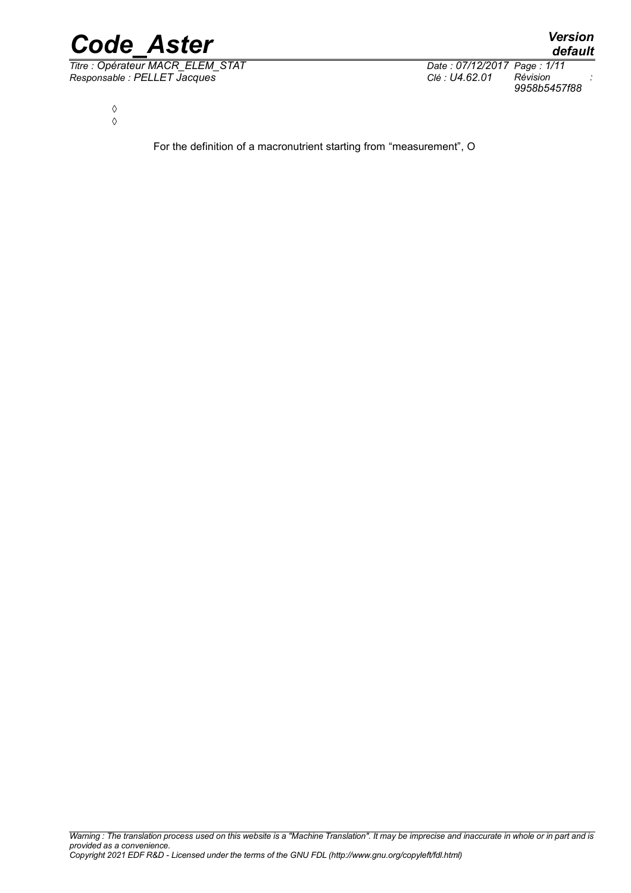

*Titre : Opérateur MACR\_ELEM\_STAT Date : 07/12/2017 Page : 1/11 Responsable : PELLET Jacques Clé : U4.62.01 Révision :*

*default*

*9958b5457f88*

◊ ◊

For the definition of a macronutrient starting from "measurement", O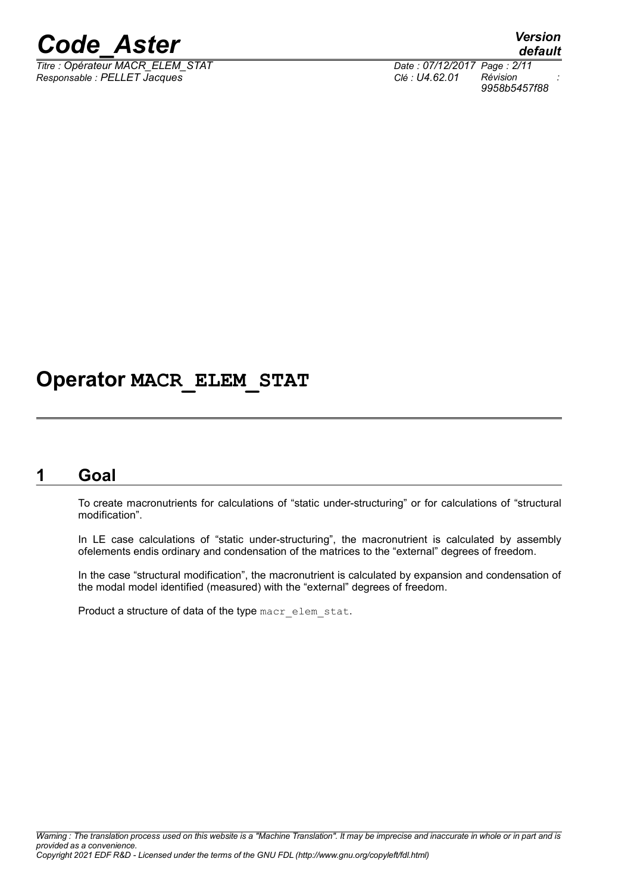*Titre : Opérateur MACR\_ELEM\_STAT Date : 07/12/2017 Page : 2/11 Responsable : PELLET Jacques Clé : U4.62.01 Révision :*

## **Operator MACR\_ELEM\_STAT**

### **1 Goal**

To create macronutrients for calculations of "static under-structuring" or for calculations of "structural modification".

In LE case calculations of "static under-structuring", the macronutrient is calculated by assembly ofelements endis ordinary and condensation of the matrices to the "external" degrees of freedom.

In the case "structural modification", the macronutrient is calculated by expansion and condensation of the modal model identified (measured) with the "external" degrees of freedom.

Product a structure of data of the type macr\_elem\_stat.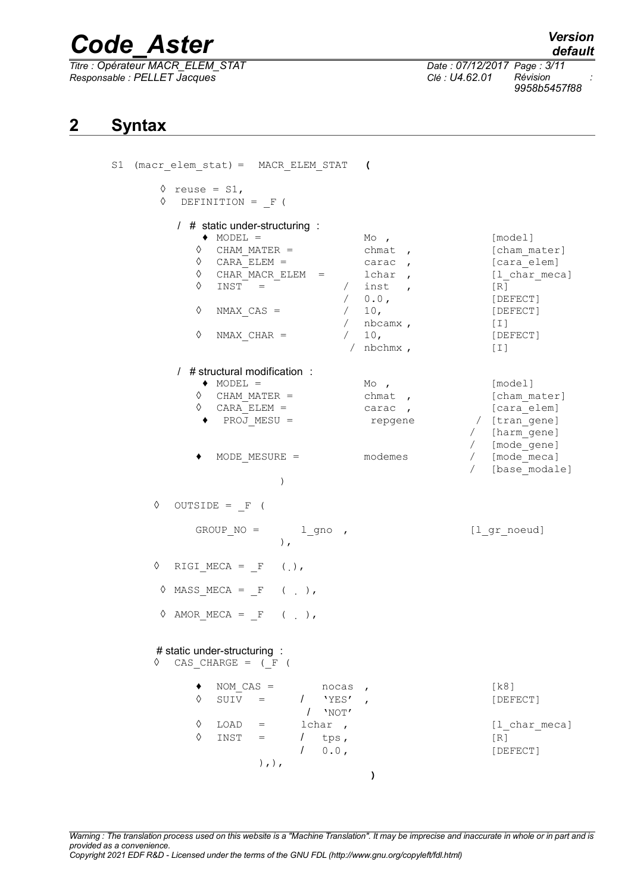*Titre : Opérateur MACR\_ELEM\_STAT Date : 07/12/2017 Page : 3/11 Responsable : PELLET Jacques Clé : U4.62.01 Révision :*

*9958b5457f88*

### **2 Syntax**

| $(max$ elem stat) = MACR ELEM STAT ( |                                                                                                                                                                                                                           |
|--------------------------------------|---------------------------------------------------------------------------------------------------------------------------------------------------------------------------------------------------------------------------|
|                                      |                                                                                                                                                                                                                           |
| $MO$ ,<br>$chmat$ ,<br>carac,        | [model]<br>[cham mater]<br>[cara elem]<br>[1 char meca]<br>[R]<br>[DEFECT]<br>[DEFECT]<br>$[1]$<br>[DEFECT]<br>$[1]$                                                                                                      |
| $Mo$ ,<br>$chmat$ ,<br>repgene       | [model]<br>[cham mater]<br>[cara_elem]<br>/ [tran gene]<br>/ [harm_gene]<br>/ [mode_gene]<br>/ [mode_meca]<br>[base modale]<br>$\sqrt{2}$                                                                                 |
|                                      | [1_gr_noeud]                                                                                                                                                                                                              |
|                                      |                                                                                                                                                                                                                           |
|                                      |                                                                                                                                                                                                                           |
| $\mathbf{r}$                         | [k8]<br>[DEFECT]<br>[1 char meca]<br>[R]<br>[DEFECT]                                                                                                                                                                      |
|                                      | $\begin{array}{ccc}\n & \text{lchar} & \text{ } \\ \text{ } & \text{inst} & \text{ } \\ \end{array}$<br>$/ 0.0$ ,<br>$/$ 10,<br>/ $nbcamx$ ,<br>$/$ 10,<br>/ $nbchmx$ ,<br>carac,<br>$MODE$ $MESURE =$ $modemes$<br>nocas |

*Warning : The translation process used on this website is a "Machine Translation". It may be imprecise and inaccurate in whole or in part and is provided as a convenience.*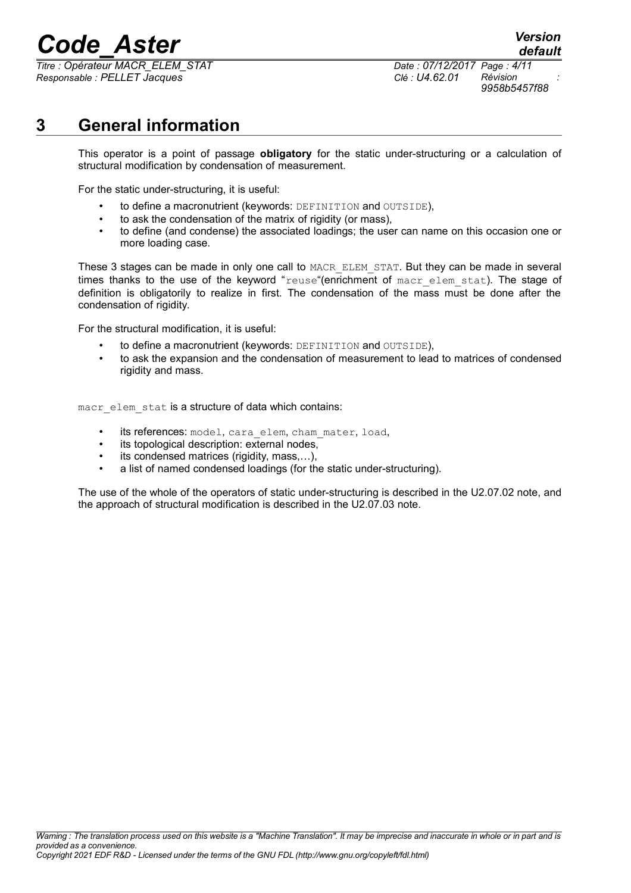*Titre : Opérateur MACR\_ELEM\_STAT Date : 07/12/2017 Page : 4/11 Responsable : PELLET Jacques Clé : U4.62.01 Révision :*

*default 9958b5457f88*

## **3 General information**

This operator is a point of passage **obligatory** for the static under-structuring or a calculation of structural modification by condensation of measurement.

For the static under-structuring, it is useful:

- to define a macronutrient (keywords: DEFINITION and OUTSIDE),
- to ask the condensation of the matrix of rigidity (or mass),
- to define (and condense) the associated loadings; the user can name on this occasion one or more loading case.

These 3 stages can be made in only one call to MACR ELEM STAT. But they can be made in several times thanks to the use of the keyword "reuse"(enrichment of macr elem stat). The stage of definition is obligatorily to realize in first. The condensation of the mass must be done after the condensation of rigidity.

For the structural modification, it is useful:

- to define a macronutrient (keywords: DEFINITION and OUTSIDE),
- to ask the expansion and the condensation of measurement to lead to matrices of condensed rigidity and mass.

macr\_elem\_stat is a structure of data which contains:

- its references: model, cara elem, cham mater, load,
- its topological description: external nodes,
- its condensed matrices (rigidity, mass,...),
- a list of named condensed loadings (for the static under-structuring).

The use of the whole of the operators of static under-structuring is described in the U2.07.02 note, and the approach of structural modification is described in the U2.07.03 note.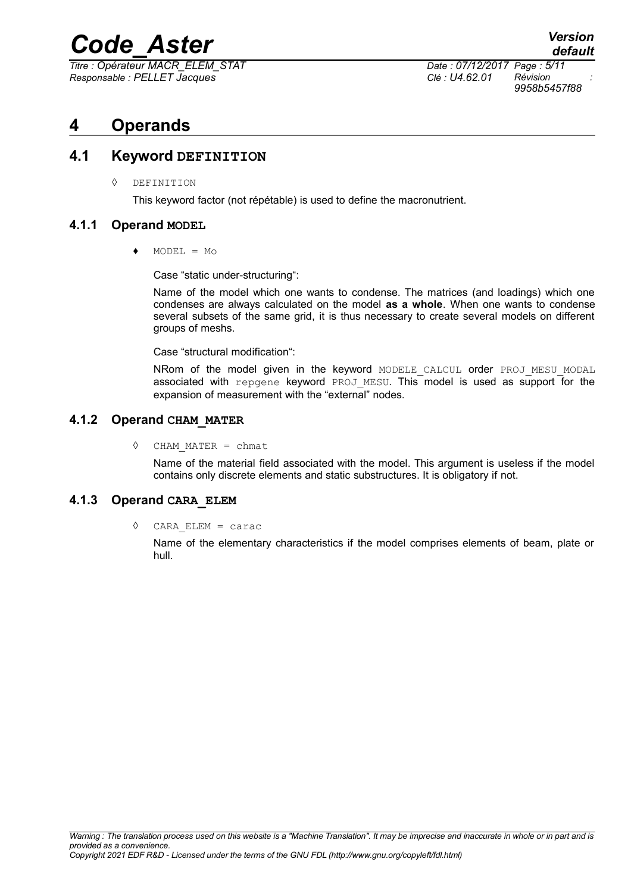*Titre : Opérateur MACR\_ELEM\_STAT Date : 07/12/2017 Page : 5/11 Responsable : PELLET Jacques Clé : U4.62.01 Révision :*

*9958b5457f88*

### **4 Operands**

#### **4.1 Keyword DEFINITION**

◊ DEFINITION

This keyword factor (not répétable) is used to define the macronutrient.

#### **4.1.1 Operand MODEL**

 $MODEL = MO$ 

Case "static under-structuring":

Name of the model which one wants to condense. The matrices (and loadings) which one condenses are always calculated on the model **as a whole**. When one wants to condense several subsets of the same grid, it is thus necessary to create several models on different groups of meshs.

Case "structural modification":

NRom of the model given in the keyword MODELE CALCUL order PROJ MESU MODAL associated with repgene keyword PROJ MESU. This model is used as support for the expansion of measurement with the "external" nodes.

#### **4.1.2 Operand CHAM\_MATER**

◊ CHAM\_MATER = chmat

Name of the material field associated with the model. This argument is useless if the model contains only discrete elements and static substructures. It is obligatory if not.

#### **4.1.3 Operand CARA\_ELEM**

◊ CARA\_ELEM = carac

Name of the elementary characteristics if the model comprises elements of beam, plate or hull.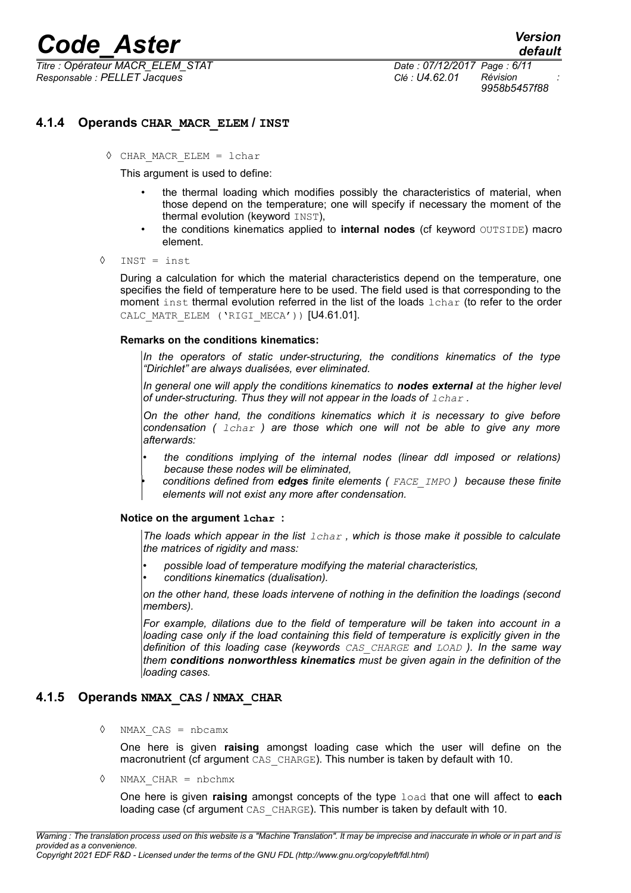*Titre : Opérateur MACR\_ELEM\_STAT Date : 07/12/2017 Page : 6/11 Responsable : PELLET Jacques Clé : U4.62.01 Révision :*

*9958b5457f88*

#### **4.1.4 Operands CHAR\_MACR\_ELEM / INST**

◊ CHAR\_MACR\_ELEM = lchar

This argument is used to define:

- the thermal loading which modifies possibly the characteristics of material, when those depend on the temperature; one will specify if necessary the moment of the thermal evolution (keyword INST),
- the conditions kinematics applied to **internal nodes** (cf keyword OUTSIDE) macro element.
- ◊ INST = inst

During a calculation for which the material characteristics depend on the temperature, one specifies the field of temperature here to be used. The field used is that corresponding to the moment inst thermal evolution referred in the list of the loads lchar (to refer to the order CALC MATR ELEM ('RIGI MECA')) [U4.61.01].

#### **Remarks on the conditions kinematics:**

*In the operators of static under-structuring, the conditions kinematics of the type "Dirichlet" are always dualisées, ever eliminated.*

*In general one will apply the conditions kinematics to nodes external at the higher level of under-structuring. Thus they will not appear in the loads of*  $1$ *char.* 

*On the other hand, the conditions kinematics which it is necessary to give before condensation ( lchar ) are those which one will not be able to give any more afterwards:*

- *the conditions implying of the internal nodes (linear ddl imposed or relations) because these nodes will be eliminated,*
	- *conditions defined from edges finite elements ( FACE\_IMPO ) because these finite elements will not exist any more after condensation.*

#### **Notice on the argument lchar :**

*The loads which appear in the list lchar , which is those make it possible to calculate the matrices of rigidity and mass:*

- *possible load of temperature modifying the material characteristics,*
- *conditions kinematics (dualisation).*

*on the other hand, these loads intervene of nothing in the definition the loadings (second members).*

*For example, dilations due to the field of temperature will be taken into account in a loading case only if the load containing this field of temperature is explicitly given in the definition of this loading case (keywords CAS\_CHARGE and LOAD ). In the same way them conditions nonworthless kinematics must be given again in the definition of the loading cases.*

#### **4.1.5 Operands NMAX\_CAS / NMAX\_CHAR**

◊ NMAX\_CAS = nbcamx

One here is given **raising** amongst loading case which the user will define on the macronutrient (cf argument CAS CHARGE). This number is taken by default with 10.

◊ NMAX\_CHAR = nbchmx

One here is given **raising** amongst concepts of the type load that one will affect to **each** loading case (cf argument CAS CHARGE). This number is taken by default with 10.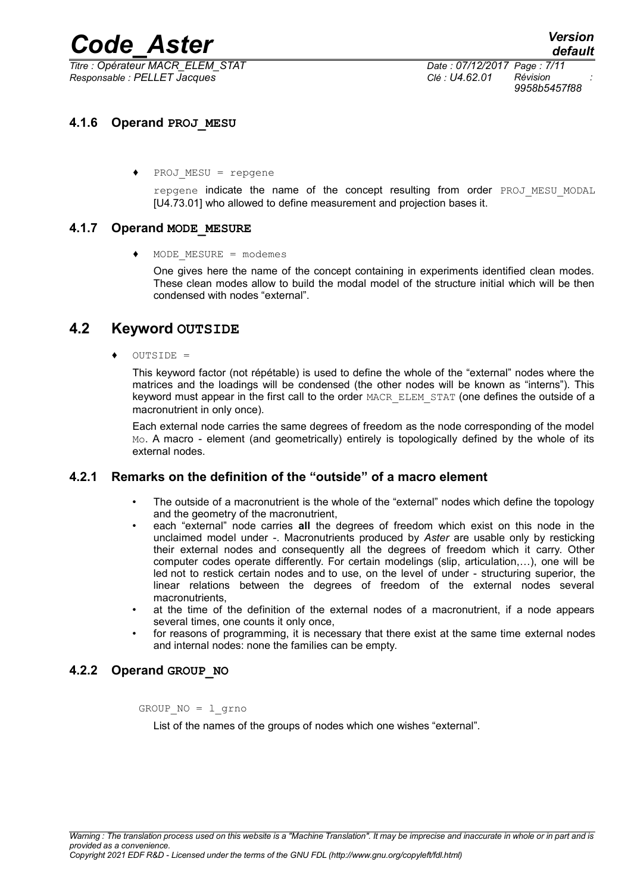*Titre : Opérateur MACR\_ELEM\_STAT Date : 07/12/2017 Page : 7/11 Responsable : PELLET Jacques Clé : U4.62.01 Révision :*

*9958b5457f88*

#### **4.1.6 Operand PROJ\_MESU**

**♦** PROJ\_MESU = repgene

repgene indicate the name of the concept resulting from order PROJ MESU MODAL [U4.73.01] who allowed to define measurement and projection bases it.

#### **4.1.7 Operand MODE\_MESURE**

**♦** MODE\_MESURE = modemes

One gives here the name of the concept containing in experiments identified clean modes. These clean modes allow to build the modal model of the structure initial which will be then condensed with nodes "external".

#### **4.2 Keyword OUTSIDE**

**♦** OUTSIDE =

This keyword factor (not répétable) is used to define the whole of the "external" nodes where the matrices and the loadings will be condensed (the other nodes will be known as "interns"). This keyword must appear in the first call to the order MACR\_ELEM\_STAT (one defines the outside of a macronutrient in only once).

Each external node carries the same degrees of freedom as the node corresponding of the model Mo. A macro - element (and geometrically) entirely is topologically defined by the whole of its external nodes.

#### **4.2.1 Remarks on the definition of the "outside" of a macro element**

- The outside of a macronutrient is the whole of the "external" nodes which define the topology and the geometry of the macronutrient,
- each "external" node carries **all** the degrees of freedom which exist on this node in the unclaimed model under -. Macronutrients produced by *Aster* are usable only by resticking their external nodes and consequently all the degrees of freedom which it carry. Other computer codes operate differently. For certain modelings (slip, articulation,…), one will be led not to restick certain nodes and to use, on the level of under - structuring superior, the linear relations between the degrees of freedom of the external nodes several macronutrients,
- at the time of the definition of the external nodes of a macronutrient, if a node appears several times, one counts it only once,
- for reasons of programming, it is necessary that there exist at the same time external nodes and internal nodes: none the families can be empty.

#### **4.2.2 Operand GROUP\_NO**

GROUP  $NO = 1$  grno

List of the names of the groups of nodes which one wishes "external".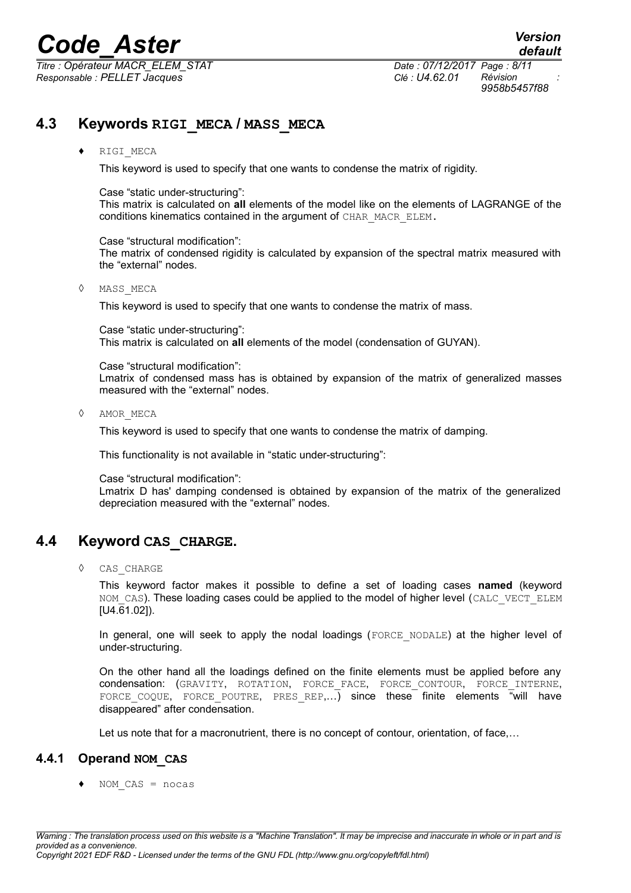*Titre : Opérateur MACR\_ELEM\_STAT Date : 07/12/2017 Page : 8/11 Responsable : PELLET Jacques Clé : U4.62.01 Révision :*

*9958b5457f88*

### **4.3 Keywords RIGI\_MECA / MASS\_MECA**

#### **♦** RIGI\_MECA

This keyword is used to specify that one wants to condense the matrix of rigidity.

#### Case "static under-structuring":

This matrix is calculated on **all** elements of the model like on the elements of LAGRANGE of the conditions kinematics contained in the argument of CHAR\_MACR\_ELEM.

#### Case "structural modification":

The matrix of condensed rigidity is calculated by expansion of the spectral matrix measured with the "external" nodes.

#### ◊ MASS\_MECA

This keyword is used to specify that one wants to condense the matrix of mass.

Case "static under-structuring": This matrix is calculated on **all** elements of the model (condensation of GUYAN).

Case "structural modification": Lmatrix of condensed mass has is obtained by expansion of the matrix of generalized masses measured with the "external" nodes.

◊ AMOR\_MECA

This keyword is used to specify that one wants to condense the matrix of damping.

This functionality is not available in "static under-structuring":

Case "structural modification":

Lmatrix D has' damping condensed is obtained by expansion of the matrix of the generalized depreciation measured with the "external" nodes.

#### **4.4 Keyword CAS\_CHARGE.**

◊ CAS\_CHARGE

This keyword factor makes it possible to define a set of loading cases **named** (keyword NOM CAS). These loading cases could be applied to the model of higher level (CALC\_VECT\_ELEM [U4.61.02]).

In general, one will seek to apply the nodal loadings (FORCE\_NODALE) at the higher level of under-structuring.

On the other hand all the loadings defined on the finite elements must be applied before any condensation: (GRAVITY, ROTATION, FORCE\_FACE, FORCE\_CONTOUR, FORCE\_INTERNE, FORCE COQUE, FORCE POUTRE, PRES REP,...) since these finite elements "will have disappeared" after condensation.

Let us note that for a macronutrient, there is no concept of contour, orientation, of face,...

#### **4.4.1 Operand NOM\_CAS**

NOM  $CAS = nocas$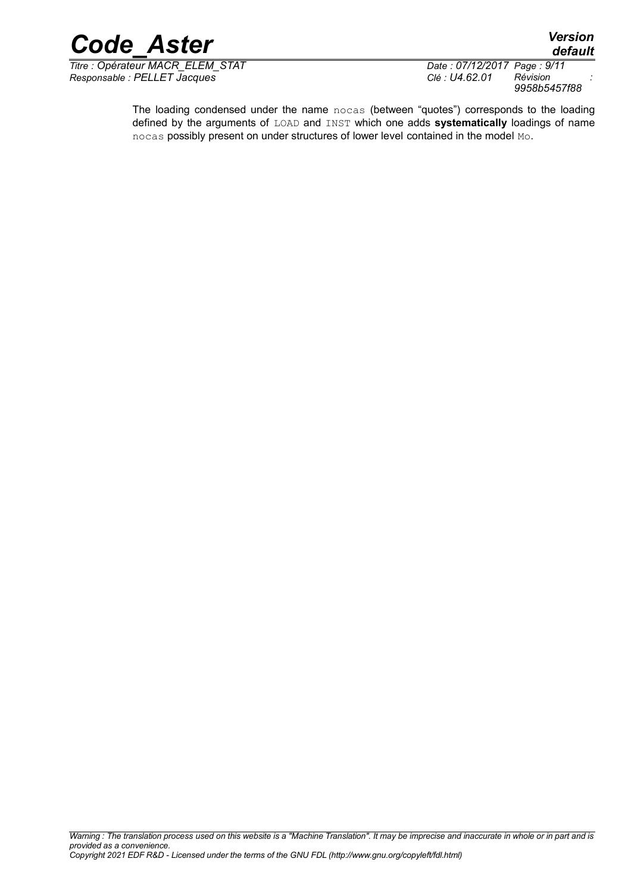

*Titre : Opérateur MACR\_ELEM\_STAT Date : 07/12/2017 Page : 9/11 Responsable : PELLET Jacques Clé : U4.62.01 Révision :*

*9958b5457f88*

*default*

The loading condensed under the name nocas (between "quotes") corresponds to the loading defined by the arguments of LOAD and INST which one adds **systematically** loadings of name nocas possibly present on under structures of lower level contained in the model Mo.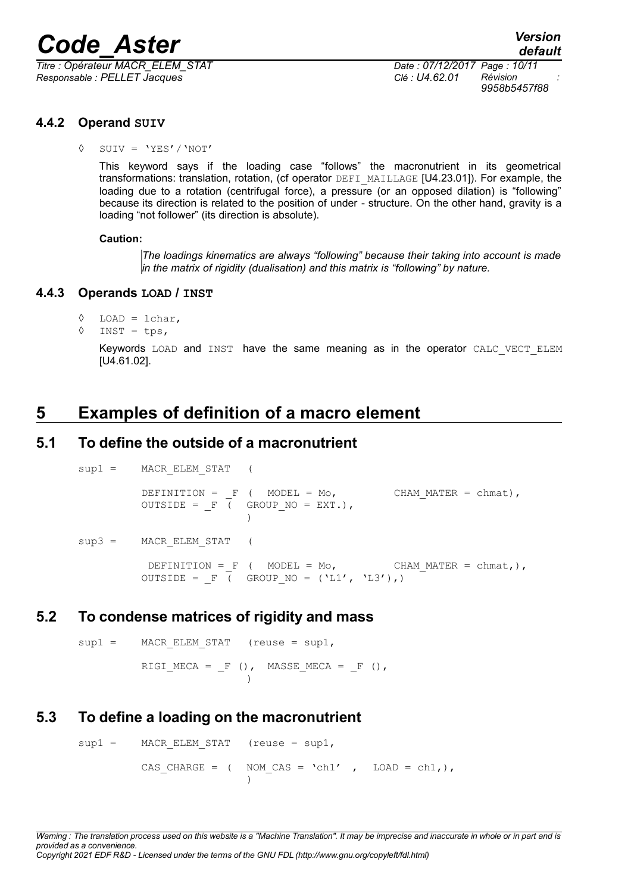*Titre : Opérateur MACR\_ELEM\_STAT Date : 07/12/2017 Page : 10/11 Responsable : PELLET Jacques Clé : U4.62.01 Révision :*

*9958b5457f88*

#### **4.4.2 Operand SUIV**

◊ SUIV = 'YES'/'NOT'

This keyword says if the loading case "follows" the macronutrient in its geometrical transformations: translation, rotation, (cf operator DEFI\_MAILLAGE [U4.23.01]). For example, the loading due to a rotation (centrifugal force), a pressure (or an opposed dilation) is "following" because its direction is related to the position of under - structure. On the other hand, gravity is a loading "not follower" (its direction is absolute).

#### **Caution:**

*The loadings kinematics are always "following" because their taking into account is made in the matrix of rigidity (dualisation) and this matrix is "following" by nature.*

#### **4.4.3 Operands LOAD / INST**

```
◊ LOAD = lchar,
```
 $\Diamond$  INST = tps,

Keywords LOAD and INST have the same meaning as in the operator CALC VECT ELEM [U4.61.02].

### **5 Examples of definition of a macro element**

#### **5.1 To define the outside of a macronutrient**

sup1 = MACR ELEM STAT ( DEFINITION =  $F$  ( MODEL = Mo, CHAM MATER = chmat), OUTSIDE =  $F \left($  GROUP NO = EXT.), )  $sup3 =$  MACR ELEM STAT ( DEFINITION = F ( MODEL = Mo, CHAM MATER = chmat,), OUTSIDE =  $F$  ( GROUP NO = ('L1', 'L3'),)

#### **5.2 To condense matrices of rigidity and mass**

 $sup1 =$  MACR ELEM STAT (reuse = sup1, RIGI\_MECA =  $_F$  (), MASSE\_MECA =  $_F$  (), )

#### **5.3 To define a loading on the macronutrient**

 $sup1 =$  MACR ELEM STAT (reuse = sup1, CAS CHARGE = ( NOM CAS = 'ch1' , LOAD = ch1,),  $\lambda$